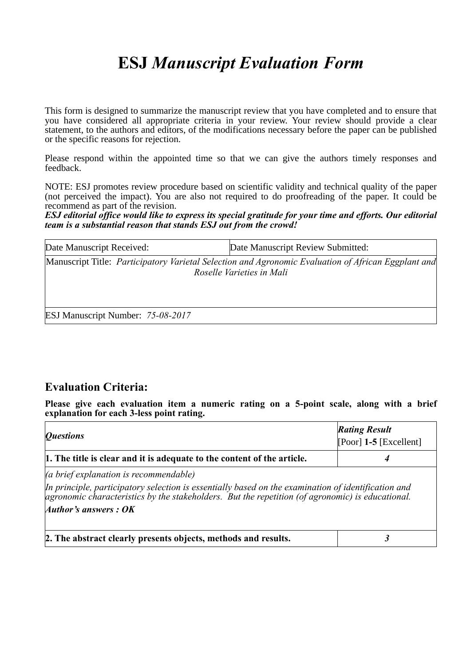# **ESJ** *Manuscript Evaluation Form*

This form is designed to summarize the manuscript review that you have completed and to ensure that you have considered all appropriate criteria in your review. Your review should provide a clear statement, to the authors and editors, of the modifications necessary before the paper can be published or the specific reasons for rejection.

Please respond within the appointed time so that we can give the authors timely responses and feedback.

NOTE: ESJ promotes review procedure based on scientific validity and technical quality of the paper (not perceived the impact). You are also not required to do proofreading of the paper. It could be recommend as part of the revision.

*ESJ editorial office would like to express its special gratitude for your time and efforts. Our editorial team is a substantial reason that stands ESJ out from the crowd!* 

| Date Manuscript Received: | Date Manuscript Review Submitted:                                                                                                 |
|---------------------------|-----------------------------------------------------------------------------------------------------------------------------------|
|                           | [Manuscript Title: Participatory Varietal Selection and Agronomic Evaluation of African Eggplant and<br>Roselle Varieties in Mali |

ESJ Manuscript Number: *75-08-2017*

## **Evaluation Criteria:**

**Please give each evaluation item a numeric rating on a 5-point scale, along with a brief explanation for each 3-less point rating.**

| <i><b>Questions</b></i>                                                                                                                                                                                                                                                      | <b>Rating Result</b><br>$[Poor]$ 1-5 [Excellent] |
|------------------------------------------------------------------------------------------------------------------------------------------------------------------------------------------------------------------------------------------------------------------------------|--------------------------------------------------|
| 1. The title is clear and it is adequate to the content of the article.                                                                                                                                                                                                      |                                                  |
| (a brief explanation is recommendable)<br>In principle, participatory selection is essentially based on the examination of identification and<br>agronomic characteristics by the stakeholders. But the repetition (of agronomic) is educational.<br>Author's answers : $OK$ |                                                  |
| 2. The abstract clearly presents objects, methods and results.                                                                                                                                                                                                               |                                                  |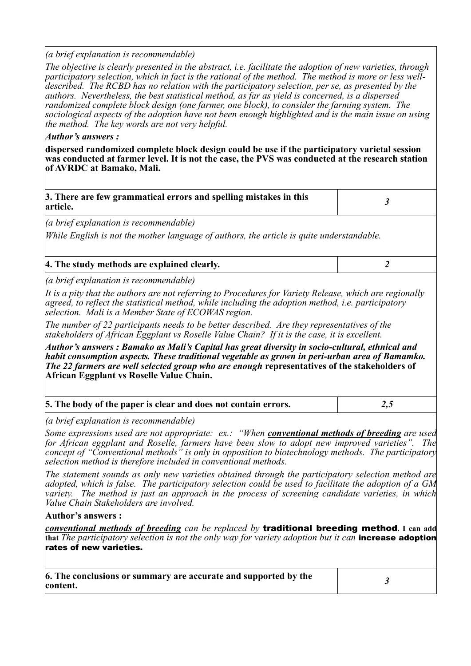#### *(a brief explanation is recommendable)*

*The objective is clearly presented in the abstract, i.e. facilitate the adoption of new varieties, through participatory selection, which in fact is the rational of the method. The method is more or less welldescribed. The RCBD has no relation with the participatory selection, per se, as presented by the authors. Nevertheless, the best statistical method, as far as yield is concerned, is a dispersed randomized complete block design (one farmer, one block), to consider the farming system. The sociological aspects of the adoption have not been enough highlighted and is the main issue on using the method. The key words are not very helpful.*

#### *Author's answers :*

**dispersed randomized complete block design could be use if the participatory varietal session was conducted at farmer level. It is not the case, the PVS was conducted at the research station of AVRDC at Bamako, Mali.**

| 3. There are few grammatical errors and spelling mistakes in this<br>article. |  |
|-------------------------------------------------------------------------------|--|
| ( <i>a brief explanation is recommendable</i> )                               |  |

*While English is not the mother language of authors, the article is quite understandable.*

| 4. The study methods are explained clearly. |  |
|---------------------------------------------|--|
|                                             |  |

*(a brief explanation is recommendable)*

*It is a pity that the authors are not referring to Procedures for Variety Release, which are regionally agreed, to reflect the statistical method, while including the adoption method, i.e. participatory selection. Mali is a Member State of ECOWAS region.* 

*The number of 22 participants needs to be better described. Are they representatives of the stakeholders of African Eggplant vs Roselle Value Chain? If it is the case, it is excellent.*

*Author's answers : Bamako as Mali's Capital has great diversity in socio-cultural, ethnical and habit consomption aspects. These traditional vegetable as grown in peri-urban area of Bamamko. The 22 farmers are well selected group who are enough* **representatives of the stakeholders of African Eggplant vs Roselle Value Chain.**

| 5. The body of the paper is clear and does not contain errors. | د.۷ |
|----------------------------------------------------------------|-----|
|----------------------------------------------------------------|-----|

*(a brief explanation is recommendable)*

*Some expressions used are not appropriate: ex.: "When conventional methods of breeding are used for African eggplant and Roselle, farmers have been slow to adopt new improved varieties". The concept of "Conventional methods" is only in opposition to biotechnology methods. The participatory selection method is therefore included in conventional methods.*

*The statement sounds as only new varieties obtained through the participatory selection method are adopted, which is false. The participatory selection could be used to facilitate the adoption of a GM variety. The method is just an approach in the process of screening candidate varieties, in which Value Chain Stakeholders are involved.*

#### **Author's answers :**

*conventional methods of breeding can be replaced by* traditional breeding method**. I can add that** *The participatory selection is not the only way for variety adoption but it can* increase adoption rates of new varieties.

| 6. The conclusions or summary are accurate and supported by the |  |
|-----------------------------------------------------------------|--|
| content.                                                        |  |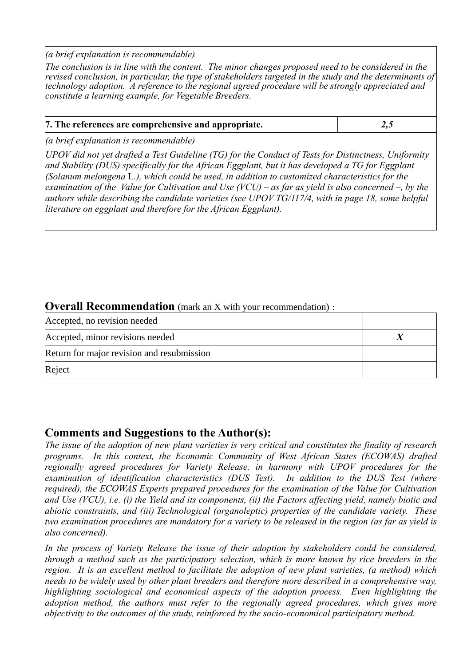*(a brief explanation is recommendable)*

*The conclusion is in line with the content. The minor changes proposed need to be considered in the revised conclusion, in particular, the type of stakeholders targeted in the study and the determinants of technology adoption. A reference to the regional agreed procedure will be strongly appreciated and constitute a learning example, for Vegetable Breeders.*

| 7. The references are comprehensive and appropriate. |     |
|------------------------------------------------------|-----|
|                                                      | 4.J |

*(a brief explanation is recommendable)*

*UPOV did not yet drafted a Test Guideline (TG) for the Conduct of Tests for Distinctness, Uniformity and Stability (DUS) specifically for the African Eggplant, but it has developed a TG for Eggplant (Solanum melongena* L*.), which could be used, in addition to customized characteristics for the examination of the Value for Cultivation and Use (VCU) – as far as vield is also concerned –, by the authors while describing the candidate varieties (see UPOV TG/117/4, with in page 18, some helpful literature on eggplant and therefore for the African Eggplant).*

## **Overall Recommendation** (mark an X with your recommendation):

| Accepted, no revision needed               |  |
|--------------------------------------------|--|
| Accepted, minor revisions needed           |  |
| Return for major revision and resubmission |  |
| Reject                                     |  |

## **Comments and Suggestions to the Author(s):**

*The issue of the adoption of new plant varieties is very critical and constitutes the finality of research programs. In this context, the Economic Community of West African States (ECOWAS) drafted regionally agreed procedures for Variety Release, in harmony with UPOV procedures for the examination of identification characteristics (DUS Test). In addition to the DUS Test (where required), the ECOWAS Experts prepared procedures for the examination of the Value for Cultivation and Use (VCU), i.e. (i) the Yield and its components, (ii) the Factors affecting yield, namely biotic and abiotic constraints, and (iii) Technological (organoleptic) properties of the candidate variety. These two examination procedures are mandatory for a variety to be released in the region (as far as yield is also concerned).*

*In the process of Variety Release the issue of their adoption by stakeholders could be considered, through a method such as the participatory selection, which is more known by rice breeders in the region. It is an excellent method to facilitate the adoption of new plant varieties, (a method) which needs to be widely used by other plant breeders and therefore more described in a comprehensive way, highlighting sociological and economical aspects of the adoption process. Even highlighting the adoption method, the authors must refer to the regionally agreed procedures, which gives more objectivity to the outcomes of the study, reinforced by the socio-economical participatory method.*